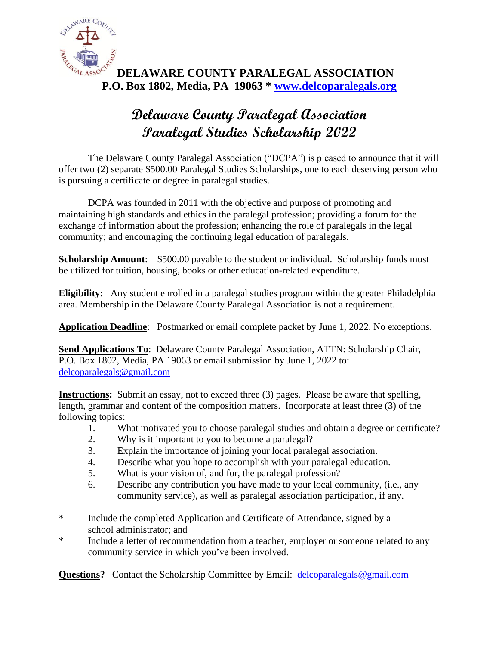

### **DELAWARE COUNTY PARALEGAL ASSOCIATION P.O. Box 1802, Media, PA 19063 \* [www.delcoparalegals.org](http://www.delcoparalegals.org/)**

# **Delaware County Paralegal Association Paralegal Studies Scholarship 2022**

The Delaware County Paralegal Association ("DCPA") is pleased to announce that it will offer two (2) separate \$500.00 Paralegal Studies Scholarships, one to each deserving person who is pursuing a certificate or degree in paralegal studies.

DCPA was founded in 2011 with the objective and purpose of promoting and maintaining high standards and ethics in the paralegal profession; providing a forum for the exchange of information about the profession; enhancing the role of paralegals in the legal community; and encouraging the continuing legal education of paralegals.

**Scholarship Amount:** \$500.00 payable to the student or individual. Scholarship funds must be utilized for tuition, housing, books or other education-related expenditure.

**Eligibility:** Any student enrolled in a paralegal studies program within the greater Philadelphia area. Membership in the Delaware County Paralegal Association is not a requirement.

**Application Deadline**: Postmarked or email complete packet by June 1, 2022. No exceptions.

**Send Applications To:** Delaware County Paralegal Association, ATTN: Scholarship Chair, P.O. Box 1802, Media, PA 19063 or email submission by June 1, 2022 to: [delcoparalegals@gmail.com](mailto:delcoparalegals@gmail.com)

**Instructions:** Submit an essay, not to exceed three (3) pages. Please be aware that spelling, length, grammar and content of the composition matters. Incorporate at least three (3) of the following topics:

- 1. What motivated you to choose paralegal studies and obtain a degree or certificate?
- 2. Why is it important to you to become a paralegal?
- 3. Explain the importance of joining your local paralegal association.
- 4. Describe what you hope to accomplish with your paralegal education.
- 5. What is your vision of, and for, the paralegal profession?
- 6. Describe any contribution you have made to your local community, (i.e., any community service), as well as paralegal association participation, if any.
- \* Include the completed Application and Certificate of Attendance, signed by a school administrator; and
- \* Include a letter of recommendation from a teacher, employer or someone related to any community service in which you've been involved.

**Questions?** Contact the Scholarship Committee by Email: [delcoparalegals@gmail.com](mailto:delcoparalegals@gmail.com)